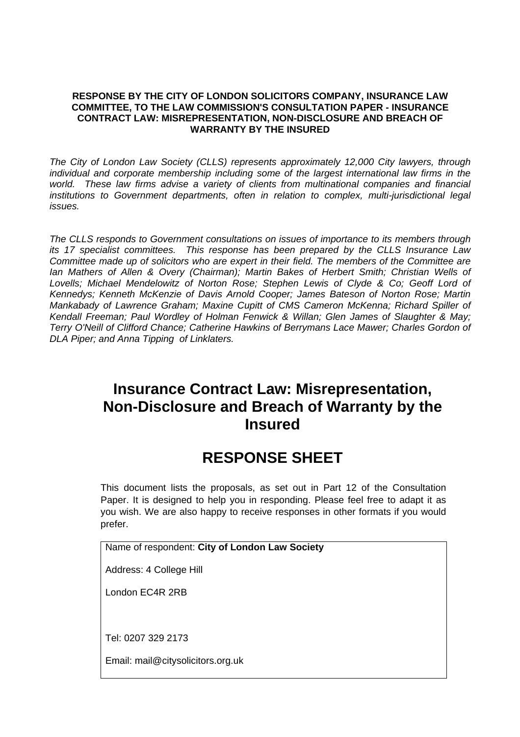#### **RESPONSE BY THE CITY OF LONDON SOLICITORS COMPANY, INSURANCE LAW COMMITTEE, TO THE LAW COMMISSION'S CONSULTATION PAPER - INSURANCE CONTRACT LAW: MISREPRESENTATION, NON-DISCLOSURE AND BREACH OF WARRANTY BY THE INSURED**

*The City of London Law Society (CLLS) represents approximately 12,000 City lawyers, through individual and corporate membership including some of the largest international law firms in the world. These law firms advise a variety of clients from multinational companies and financial*  institutions to Government departments, often in relation to complex, multi-jurisdictional legal *issues.* 

*The CLLS responds to Government consultations on issues of importance to its members through its 17 specialist committees. This response has been prepared by the CLLS Insurance Law Committee made up of solicitors who are expert in their field. The members of the Committee are Ian Mathers of Allen & Overy (Chairman); Martin Bakes of Herbert Smith; Christian Wells of* Lovells; Michael Mendelowitz of Norton Rose; Stephen Lewis of Clyde & Co; Geoff Lord of *Kennedys; Kenneth McKenzie of Davis Arnold Cooper; James Bateson of Norton Rose; Martin Mankabady of Lawrence Graham; Maxine Cupitt of CMS Cameron McKenna; Richard Spiller of Kendall Freeman; Paul Wordley of Holman Fenwick & Willan; Glen James of Slaughter & May; Terry O'Neill of Clifford Chance; Catherine Hawkins of Berrymans Lace Mawer; Charles Gordon of DLA Piper; and Anna Tipping of Linklaters.* 

# **Insurance Contract Law: Misrepresentation, Non-Disclosure and Breach of Warranty by the Insured**

# **RESPONSE SHEET**

This document lists the proposals, as set out in Part 12 of the Consultation Paper. It is designed to help you in responding. Please feel free to adapt it as you wish. We are also happy to receive responses in other formats if you would prefer.

Name of respondent: **City of London Law Society** 

Address: 4 College Hill

London EC4R 2RB

Tel: 0207 329 2173

Email: mail@citysolicitors.org.uk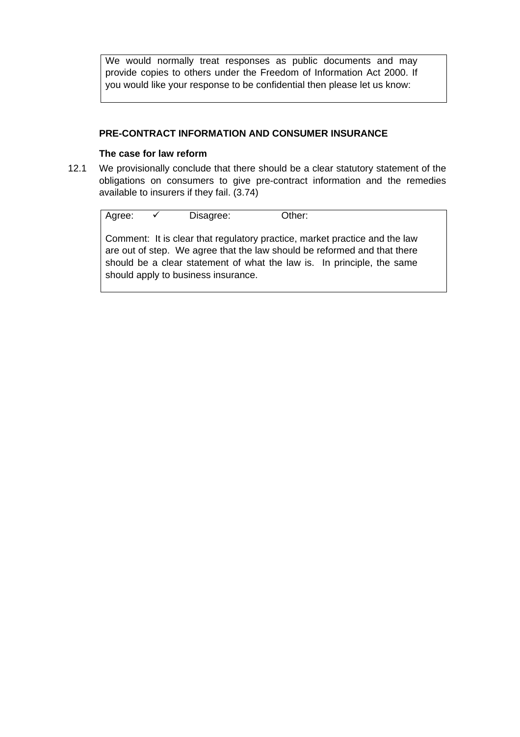We would normally treat responses as public documents and may provide copies to others under the Freedom of Information Act 2000. If you would like your response to be confidential then please let us know:

#### **PRE-CONTRACT INFORMATION AND CONSUMER INSURANCE**

#### **The case for law reform**

12.1 We provisionally conclude that there should be a clear statutory statement of the obligations on consumers to give pre-contract information and the remedies available to insurers if they fail. (3.74)

Agree:  $\checkmark$  Disagree: Other: Comment: It is clear that regulatory practice, market practice and the law are out of step. We agree that the law should be reformed and that there should be a clear statement of what the law is. In principle, the same should apply to business insurance.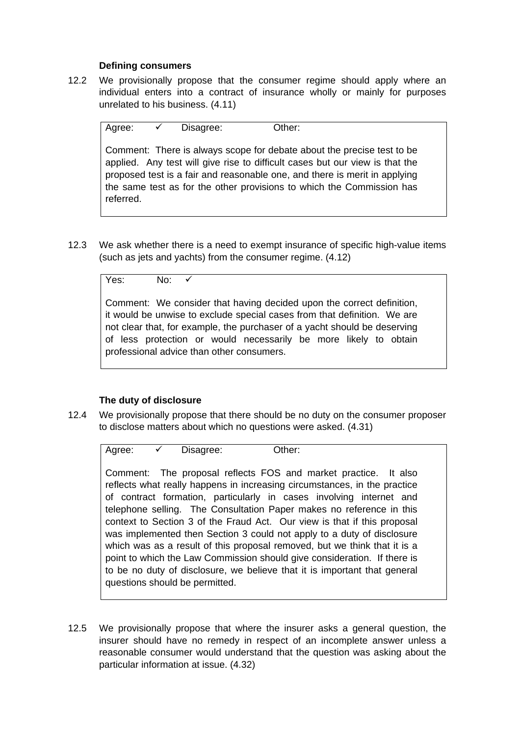#### **Defining consumers**

12.2 We provisionally propose that the consumer regime should apply where an individual enters into a contract of insurance wholly or mainly for purposes unrelated to his business. (4.11)

Agree:  $\checkmark$  Disagree: Other: Comment: There is always scope for debate about the precise test to be applied. Any test will give rise to difficult cases but our view is that the proposed test is a fair and reasonable one, and there is merit in applying the same test as for the other provisions to which the Commission has referred.

12.3 We ask whether there is a need to exempt insurance of specific high-value items (such as jets and yachts) from the consumer regime. (4.12)

 $Y$ es: No:  $\checkmark$ 

Comment: We consider that having decided upon the correct definition, it would be unwise to exclude special cases from that definition. We are not clear that, for example, the purchaser of a yacht should be deserving of less protection or would necessarily be more likely to obtain professional advice than other consumers.

## **The duty of disclosure**

12.4 We provisionally propose that there should be no duty on the consumer proposer to disclose matters about which no questions were asked. (4.31)

Agree:  $\checkmark$  Disagree: Other:

Comment: The proposal reflects FOS and market practice. It also reflects what really happens in increasing circumstances, in the practice of contract formation, particularly in cases involving internet and telephone selling. The Consultation Paper makes no reference in this context to Section 3 of the Fraud Act. Our view is that if this proposal was implemented then Section 3 could not apply to a duty of disclosure which was as a result of this proposal removed, but we think that it is a point to which the Law Commission should give consideration. If there is to be no duty of disclosure, we believe that it is important that general questions should be permitted.

12.5 We provisionally propose that where the insurer asks a general question, the insurer should have no remedy in respect of an incomplete answer unless a reasonable consumer would understand that the question was asking about the particular information at issue. (4.32)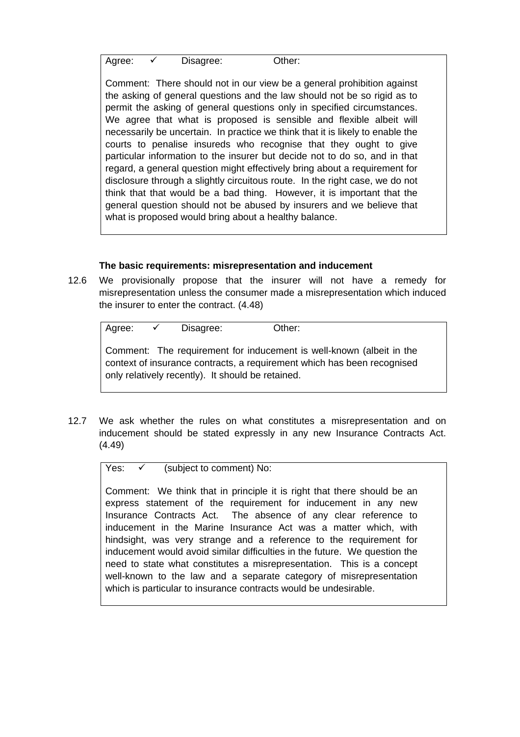Agree:  $\checkmark$  Disagree: Other:

Comment: There should not in our view be a general prohibition against the asking of general questions and the law should not be so rigid as to permit the asking of general questions only in specified circumstances. We agree that what is proposed is sensible and flexible albeit will necessarily be uncertain. In practice we think that it is likely to enable the courts to penalise insureds who recognise that they ought to give particular information to the insurer but decide not to do so, and in that regard, a general question might effectively bring about a requirement for disclosure through a slightly circuitous route. In the right case, we do not think that that would be a bad thing. However, it is important that the general question should not be abused by insurers and we believe that what is proposed would bring about a healthy balance.

## **The basic requirements: misrepresentation and inducement**

12.6 We provisionally propose that the insurer will not have a remedy for misrepresentation unless the consumer made a misrepresentation which induced the insurer to enter the contract. (4.48)

| Agree: | $\sqrt{2}$ | Disagree:                                         | Other:                                                                                                                                          |
|--------|------------|---------------------------------------------------|-------------------------------------------------------------------------------------------------------------------------------------------------|
|        |            | only relatively recently). It should be retained. | Comment: The requirement for inducement is well-known (albeit in the<br>context of insurance contracts, a requirement which has been recognised |

12.7 We ask whether the rules on what constitutes a misrepresentation and on inducement should be stated expressly in any new Insurance Contracts Act. (4.49)

Yes:  $\checkmark$  (subject to comment) No:

Comment: We think that in principle it is right that there should be an express statement of the requirement for inducement in any new Insurance Contracts Act. The absence of any clear reference to inducement in the Marine Insurance Act was a matter which, with hindsight, was very strange and a reference to the requirement for inducement would avoid similar difficulties in the future. We question the need to state what constitutes a misrepresentation. This is a concept well-known to the law and a separate category of misrepresentation which is particular to insurance contracts would be undesirable.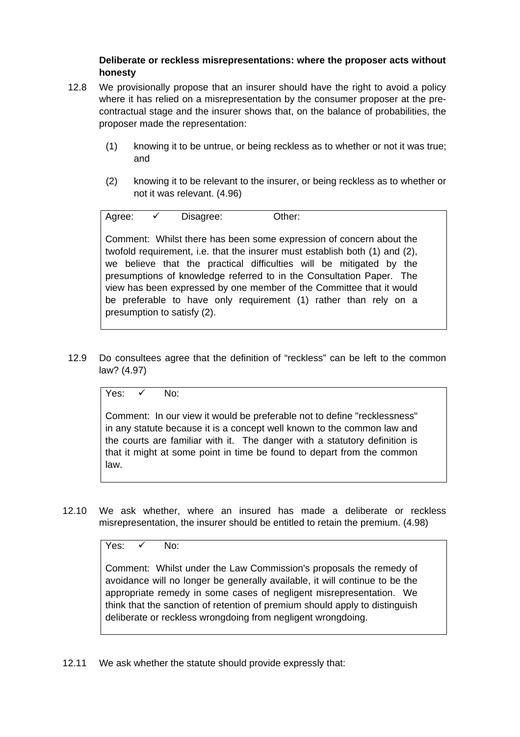## **Deliberate or reckless misrepresentations: where the proposer acts without honesty**

- 12.8 We provisionally propose that an insurer should have the right to avoid a policy where it has relied on a misrepresentation by the consumer proposer at the precontractual stage and the insurer shows that, on the balance of probabilities, the proposer made the representation:
	- (1) knowing it to be untrue, or being reckless as to whether or not it was true; and
	- (2) knowing it to be relevant to the insurer, or being reckless as to whether or not it was relevant. (4.96)

Agree: 9 Disagree: Other:

Comment: Whilst there has been some expression of concern about the twofold requirement, i.e. that the insurer must establish both (1) and (2), we believe that the practical difficulties will be mitigated by the presumptions of knowledge referred to in the Consultation Paper. The view has been expressed by one member of the Committee that it would be preferable to have only requirement (1) rather than rely on a presumption to satisfy (2).

12.9 Do consultees agree that the definition of "reckless" can be left to the common law? (4.97)

Yes:  $\checkmark$  No:

Comment: In our view it would be preferable not to define "recklessness" in any statute because it is a concept well known to the common law and the courts are familiar with it. The danger with a statutory definition is that it might at some point in time be found to depart from the common law.

12.10 We ask whether, where an insured has made a deliberate or reckless misrepresentation, the insurer should be entitled to retain the premium. (4.98)

Yes:  $\checkmark$  No:

Comment: Whilst under the Law Commission's proposals the remedy of avoidance will no longer be generally available, it will continue to be the appropriate remedy in some cases of negligent misrepresentation. We think that the sanction of retention of premium should apply to distinguish deliberate or reckless wrongdoing from negligent wrongdoing.

12.11 We ask whether the statute should provide expressly that: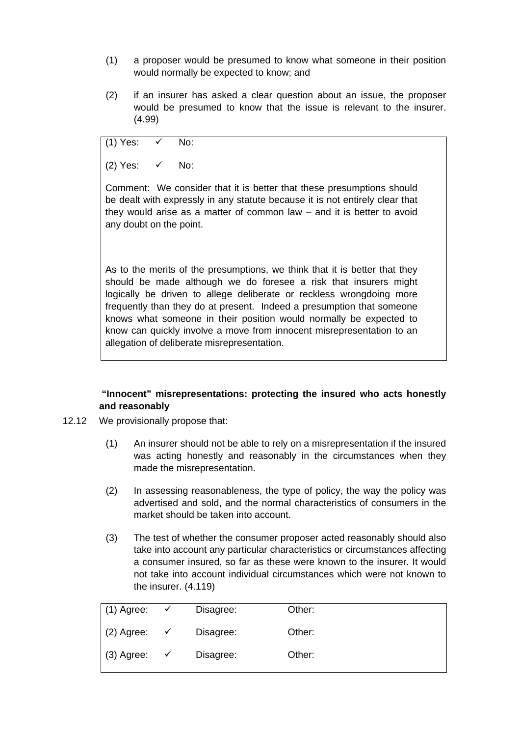- (1) a proposer would be presumed to know what someone in their position would normally be expected to know; and
- (2) if an insurer has asked a clear question about an issue, the proposer would be presumed to know that the issue is relevant to the insurer. (4.99)

(1) Yes:  $\checkmark$  No:

(2) Yes:  $\checkmark$  No:

Comment: We consider that it is better that these presumptions should be dealt with expressly in any statute because it is not entirely clear that they would arise as a matter of common law – and it is better to avoid any doubt on the point.

As to the merits of the presumptions, we think that it is better that they should be made although we do foresee a risk that insurers might logically be driven to allege deliberate or reckless wrongdoing more frequently than they do at present. Indeed a presumption that someone knows what someone in their position would normally be expected to know can quickly involve a move from innocent misrepresentation to an allegation of deliberate misrepresentation.

# **"Innocent" misrepresentations: protecting the insured who acts honestly and reasonably**

- 12.12 We provisionally propose that:
	- (1) An insurer should not be able to rely on a misrepresentation if the insured was acting honestly and reasonably in the circumstances when they made the misrepresentation.
	- (2) In assessing reasonableness, the type of policy, the way the policy was advertised and sold, and the normal characteristics of consumers in the market should be taken into account.
	- (3) The test of whether the consumer proposer acted reasonably should also take into account any particular characteristics or circumstances affecting a consumer insured, so far as these were known to the insurer. It would not take into account individual circumstances which were not known to the insurer. (4.119)

| $(1)$ Agree: | ✓ | Disagree: | Other: |
|--------------|---|-----------|--------|
| (2) Agree:   | ✓ | Disagree: | Other: |
| $(3)$ Agree: | ✓ | Disagree: | Other: |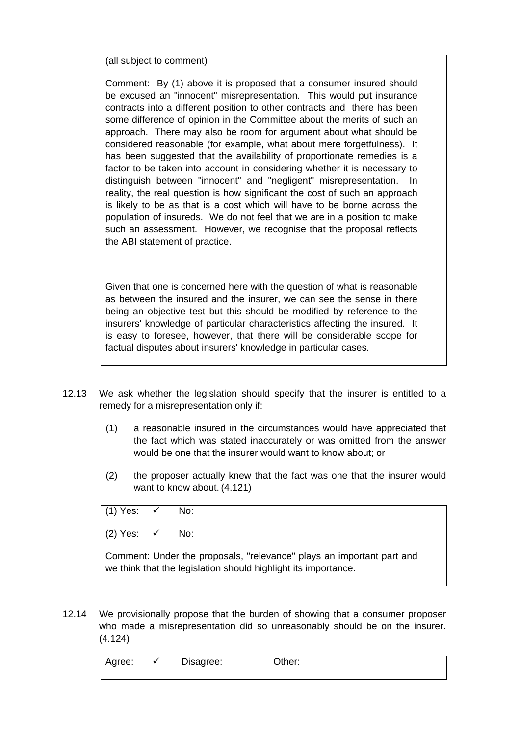(all subject to comment)

Comment: By (1) above it is proposed that a consumer insured should be excused an "innocent" misrepresentation. This would put insurance contracts into a different position to other contracts and there has been some difference of opinion in the Committee about the merits of such an approach. There may also be room for argument about what should be considered reasonable (for example, what about mere forgetfulness). It has been suggested that the availability of proportionate remedies is a factor to be taken into account in considering whether it is necessary to distinguish between "innocent" and "negligent" misrepresentation. In reality, the real question is how significant the cost of such an approach is likely to be as that is a cost which will have to be borne across the population of insureds. We do not feel that we are in a position to make such an assessment. However, we recognise that the proposal reflects the ABI statement of practice.

Given that one is concerned here with the question of what is reasonable as between the insured and the insurer, we can see the sense in there being an objective test but this should be modified by reference to the insurers' knowledge of particular characteristics affecting the insured. It is easy to foresee, however, that there will be considerable scope for factual disputes about insurers' knowledge in particular cases.

- 12.13 We ask whether the legislation should specify that the insurer is entitled to a remedy for a misrepresentation only if:
	- (1) a reasonable insured in the circumstances would have appreciated that the fact which was stated inaccurately or was omitted from the answer would be one that the insurer would want to know about; or
	- (2) the proposer actually knew that the fact was one that the insurer would want to know about. (4.121)

(1) Yes:  $\checkmark$  No:

(2) Yes:  $\checkmark$  No:

Comment: Under the proposals, "relevance" plays an important part and we think that the legislation should highlight its importance.

12.14 We provisionally propose that the burden of showing that a consumer proposer who made a misrepresentation did so unreasonably should be on the insurer. (4.124)

Agree:  $\checkmark$  Disagree: Other: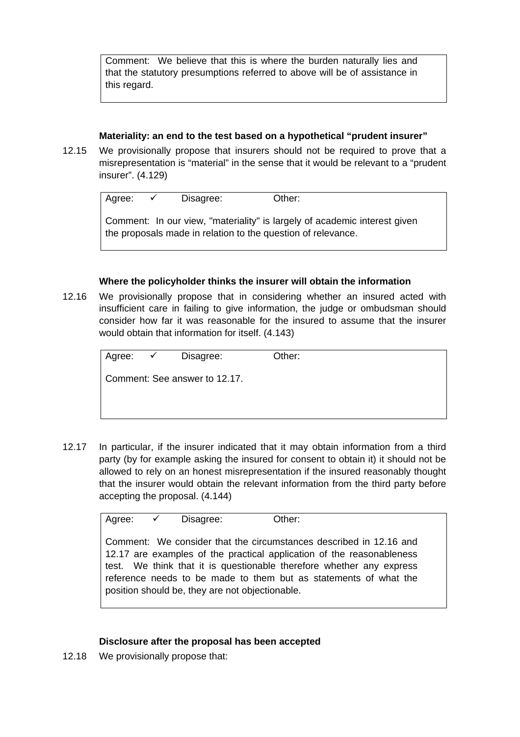Comment: We believe that this is where the burden naturally lies and that the statutory presumptions referred to above will be of assistance in this regard.

## **Materiality: an end to the test based on a hypothetical "prudent insurer"**

12.15 We provisionally propose that insurers should not be required to prove that a misrepresentation is "material" in the sense that it would be relevant to a "prudent insurer". (4.129)

| Agree: | $\sqrt{ }$ | Disagree: | Other:                                                                                                                                    |
|--------|------------|-----------|-------------------------------------------------------------------------------------------------------------------------------------------|
|        |            |           | Comment: In our view, "materiality" is largely of academic interest given<br>the proposals made in relation to the question of relevance. |

## **Where the policyholder thinks the insurer will obtain the information**

12.16 We provisionally propose that in considering whether an insured acted with insufficient care in failing to give information, the judge or ombudsman should consider how far it was reasonable for the insured to assume that the insurer would obtain that information for itself. (4.143)

| Agree: ✔ | Disagree:                     | Other: |  |
|----------|-------------------------------|--------|--|
|          | Comment: See answer to 12.17. |        |  |
|          |                               |        |  |
|          |                               |        |  |

12.17 In particular, if the insurer indicated that it may obtain information from a third party (by for example asking the insured for consent to obtain it) it should not be allowed to rely on an honest misrepresentation if the insured reasonably thought that the insurer would obtain the relevant information from the third party before accepting the proposal. (4.144)

Agree:  $\checkmark$  Disagree: Other:

Comment: We consider that the circumstances described in 12.16 and 12.17 are examples of the practical application of the reasonableness test. We think that it is questionable therefore whether any express reference needs to be made to them but as statements of what the position should be, they are not objectionable.

#### **Disclosure after the proposal has been accepted**

12.18 We provisionally propose that: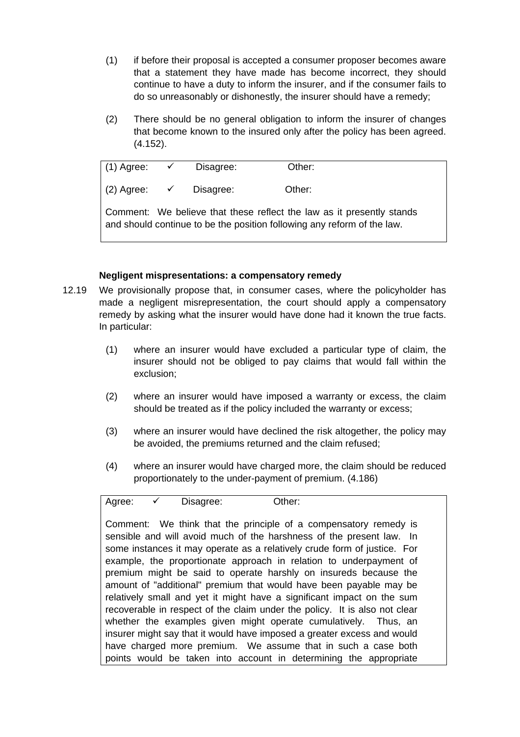- (1) if before their proposal is accepted a consumer proposer becomes aware that a statement they have made has become incorrect, they should continue to have a duty to inform the insurer, and if the consumer fails to do so unreasonably or dishonestly, the insurer should have a remedy;
- (2) There should be no general obligation to inform the insurer of changes that become known to the insured only after the policy has been agreed. (4.152).

(1) Agree:  $\checkmark$  Disagree: Other: (2) Agree:  $\checkmark$  Disagree: Other: Comment: We believe that these reflect the law as it presently stands and should continue to be the position following any reform of the law.

## **Negligent mispresentations: a compensatory remedy**

- 12.19 We provisionally propose that, in consumer cases, where the policyholder has made a negligent misrepresentation, the court should apply a compensatory remedy by asking what the insurer would have done had it known the true facts. In particular:
	- (1) where an insurer would have excluded a particular type of claim, the insurer should not be obliged to pay claims that would fall within the exclusion;
	- (2) where an insurer would have imposed a warranty or excess, the claim should be treated as if the policy included the warranty or excess;
	- (3) where an insurer would have declined the risk altogether, the policy may be avoided, the premiums returned and the claim refused;
	- (4) where an insurer would have charged more, the claim should be reduced proportionately to the under-payment of premium. (4.186)

Agree:  $\checkmark$  Disagree: Other:

Comment: We think that the principle of a compensatory remedy is sensible and will avoid much of the harshness of the present law. In some instances it may operate as a relatively crude form of justice. For example, the proportionate approach in relation to underpayment of premium might be said to operate harshly on insureds because the amount of "additional" premium that would have been payable may be relatively small and yet it might have a significant impact on the sum recoverable in respect of the claim under the policy. It is also not clear whether the examples given might operate cumulatively. Thus, an insurer might say that it would have imposed a greater excess and would have charged more premium. We assume that in such a case both points would be taken into account in determining the appropriate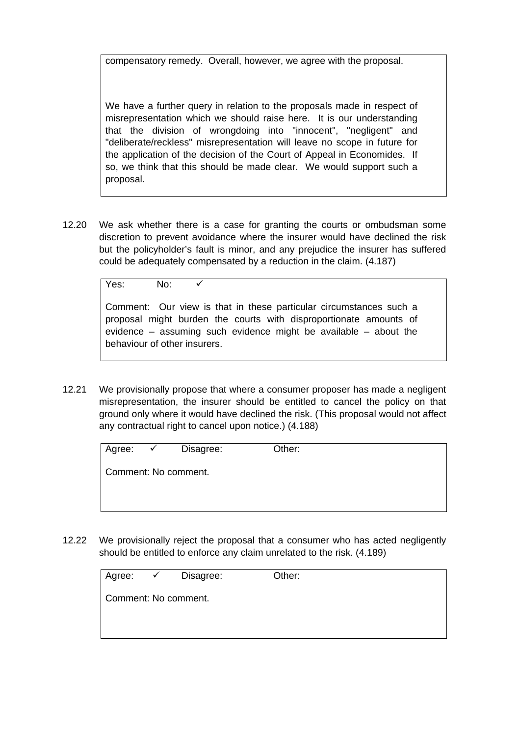compensatory remedy. Overall, however, we agree with the proposal.

We have a further query in relation to the proposals made in respect of misrepresentation which we should raise here. It is our understanding that the division of wrongdoing into "innocent", "negligent" and "deliberate/reckless" misrepresentation will leave no scope in future for the application of the decision of the Court of Appeal in Economides. If so, we think that this should be made clear. We would support such a proposal.

12.20 We ask whether there is a case for granting the courts or ombudsman some discretion to prevent avoidance where the insurer would have declined the risk but the policyholder's fault is minor, and any prejudice the insurer has suffered could be adequately compensated by a reduction in the claim. (4.187)

 $Yes: No:  $\sqrt{ }$$ 

Comment: Our view is that in these particular circumstances such a proposal might burden the courts with disproportionate amounts of evidence – assuming such evidence might be available – about the behaviour of other insurers.

12.21 We provisionally propose that where a consumer proposer has made a negligent misrepresentation, the insurer should be entitled to cancel the policy on that ground only where it would have declined the risk. (This proposal would not affect any contractual right to cancel upon notice.) (4.188)

| Agree:               | $\sqrt{2}$ | Disagree: | Other: |
|----------------------|------------|-----------|--------|
| Comment: No comment. |            |           |        |
|                      |            |           |        |
|                      |            |           |        |

12.22 We provisionally reject the proposal that a consumer who has acted negligently should be entitled to enforce any claim unrelated to the risk. (4.189)

| Agree: | $\checkmark$ | Disagree:            | Other: |
|--------|--------------|----------------------|--------|
|        |              | Comment: No comment. |        |
|        |              |                      |        |
|        |              |                      |        |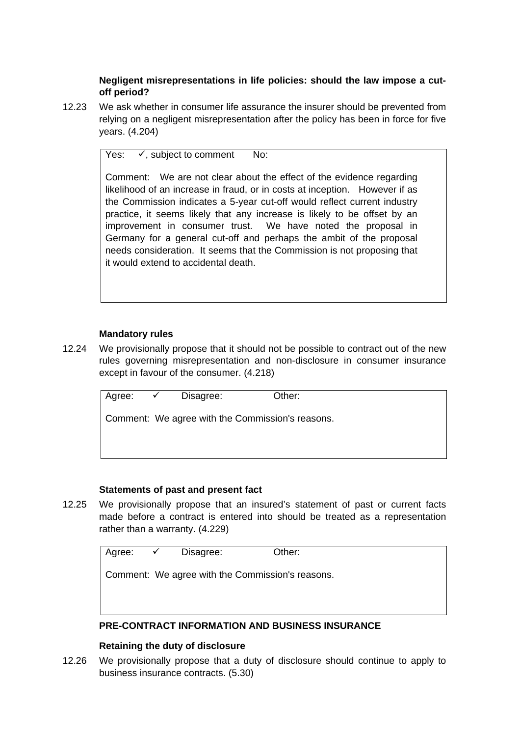**Negligent misrepresentations in life policies: should the law impose a cutoff period?** 

12.23 We ask whether in consumer life assurance the insurer should be prevented from relying on a negligent misrepresentation after the policy has been in force for five years. (4.204)

Yes:  $\checkmark$ , subject to comment No:

Comment: We are not clear about the effect of the evidence regarding likelihood of an increase in fraud, or in costs at inception. However if as the Commission indicates a 5-year cut-off would reflect current industry practice, it seems likely that any increase is likely to be offset by an improvement in consumer trust. We have noted the proposal in Germany for a general cut-off and perhaps the ambit of the proposal needs consideration. It seems that the Commission is not proposing that it would extend to accidental death.

## **Mandatory rules**

12.24 We provisionally propose that it should not be possible to contract out of the new rules governing misrepresentation and non-disclosure in consumer insurance except in favour of the consumer. (4.218)

|  | Agree: $\checkmark$ Disagree:                    | Other: |
|--|--------------------------------------------------|--------|
|  | Comment: We agree with the Commission's reasons. |        |
|  |                                                  |        |
|  |                                                  |        |

## **Statements of past and present fact**

12.25 We provisionally propose that an insured's statement of past or current facts made before a contract is entered into should be treated as a representation rather than a warranty. (4.229)

| Agree: $\checkmark$ | Disagree:                                        | Other:                                         |
|---------------------|--------------------------------------------------|------------------------------------------------|
|                     | Comment: We agree with the Commission's reasons. |                                                |
|                     |                                                  |                                                |
|                     |                                                  | DE AAUTRIAT INFARMITIAN IND RUAINFAA INAURINAE |

## **PRE-CONTRACT INFORMATION AND BUSINESS INSURANCE**

## **Retaining the duty of disclosure**

12.26 We provisionally propose that a duty of disclosure should continue to apply to business insurance contracts. (5.30)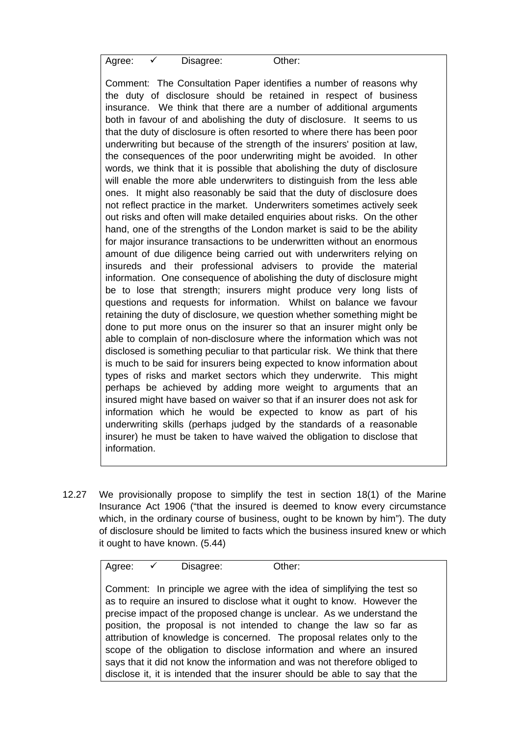Agree:  $\checkmark$  Disagree: Other:

Comment: The Consultation Paper identifies a number of reasons why the duty of disclosure should be retained in respect of business insurance. We think that there are a number of additional arguments both in favour of and abolishing the duty of disclosure. It seems to us that the duty of disclosure is often resorted to where there has been poor underwriting but because of the strength of the insurers' position at law, the consequences of the poor underwriting might be avoided. In other words, we think that it is possible that abolishing the duty of disclosure will enable the more able underwriters to distinguish from the less able ones. It might also reasonably be said that the duty of disclosure does not reflect practice in the market. Underwriters sometimes actively seek out risks and often will make detailed enquiries about risks. On the other hand, one of the strengths of the London market is said to be the ability for major insurance transactions to be underwritten without an enormous amount of due diligence being carried out with underwriters relying on insureds and their professional advisers to provide the material information. One consequence of abolishing the duty of disclosure might be to lose that strength; insurers might produce very long lists of questions and requests for information. Whilst on balance we favour retaining the duty of disclosure, we question whether something might be done to put more onus on the insurer so that an insurer might only be able to complain of non-disclosure where the information which was not disclosed is something peculiar to that particular risk. We think that there is much to be said for insurers being expected to know information about types of risks and market sectors which they underwrite. This might perhaps be achieved by adding more weight to arguments that an insured might have based on waiver so that if an insurer does not ask for information which he would be expected to know as part of his underwriting skills (perhaps judged by the standards of a reasonable insurer) he must be taken to have waived the obligation to disclose that information.

12.27 We provisionally propose to simplify the test in section 18(1) of the Marine Insurance Act 1906 ("that the insured is deemed to know every circumstance which, in the ordinary course of business, ought to be known by him"). The duty of disclosure should be limited to facts which the business insured knew or which it ought to have known. (5.44)

| Agree: |  | Disagree: | Other: |
|--------|--|-----------|--------|
|--------|--|-----------|--------|

Comment: In principle we agree with the idea of simplifying the test so as to require an insured to disclose what it ought to know. However the precise impact of the proposed change is unclear. As we understand the position, the proposal is not intended to change the law so far as attribution of knowledge is concerned. The proposal relates only to the scope of the obligation to disclose information and where an insured says that it did not know the information and was not therefore obliged to disclose it, it is intended that the insurer should be able to say that the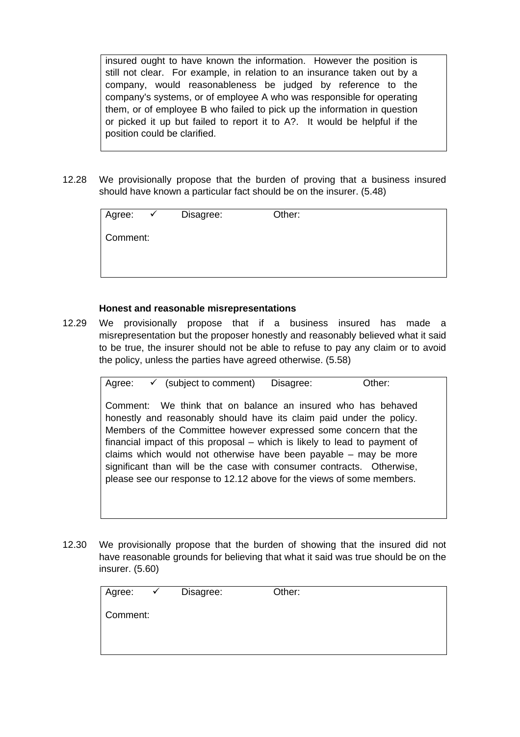insured ought to have known the information. However the position is still not clear. For example, in relation to an insurance taken out by a company, would reasonableness be judged by reference to the company's systems, or of employee A who was responsible for operating them, or of employee B who failed to pick up the information in question or picked it up but failed to report it to A?. It would be helpful if the position could be clarified.

12.28 We provisionally propose that the burden of proving that a business insured should have known a particular fact should be on the insurer. (5.48)

| Agree:   | $\checkmark$ | Disagree: | Other: |  |
|----------|--------------|-----------|--------|--|
| Comment: |              |           |        |  |
|          |              |           |        |  |

#### **Honest and reasonable misrepresentations**

12.29 We provisionally propose that if a business insured has made a misrepresentation but the proposer honestly and reasonably believed what it said to be true, the insurer should not be able to refuse to pay any claim or to avoid the policy, unless the parties have agreed otherwise. (5.58)

| Agree: | $\checkmark$ (subject to comment) | Disagree: | Other: |
|--------|-----------------------------------|-----------|--------|
|        |                                   |           |        |

Comment: We think that on balance an insured who has behaved honestly and reasonably should have its claim paid under the policy. Members of the Committee however expressed some concern that the financial impact of this proposal – which is likely to lead to payment of claims which would not otherwise have been payable – may be more significant than will be the case with consumer contracts. Otherwise, please see our response to 12.12 above for the views of some members.

12.30 We provisionally propose that the burden of showing that the insured did not have reasonable grounds for believing that what it said was true should be on the insurer. (5.60)

| Agree:   | $\checkmark$ | Disagree: | Other: |
|----------|--------------|-----------|--------|
| Comment: |              |           |        |
|          |              |           |        |
|          |              |           |        |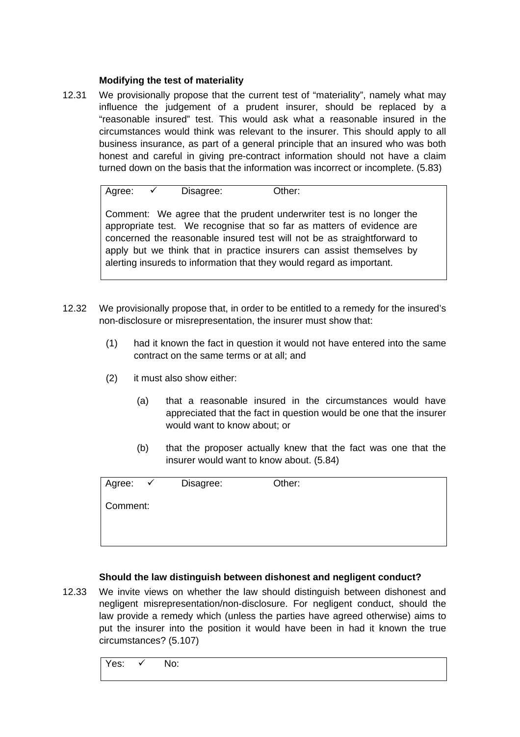## **Modifying the test of materiality**

12.31 We provisionally propose that the current test of "materiality", namely what may influence the judgement of a prudent insurer, should be replaced by a "reasonable insured" test. This would ask what a reasonable insured in the circumstances would think was relevant to the insurer. This should apply to all business insurance, as part of a general principle that an insured who was both honest and careful in giving pre-contract information should not have a claim turned down on the basis that the information was incorrect or incomplete. (5.83)

Agree:  $\checkmark$  Disagree: Other:

Comment: We agree that the prudent underwriter test is no longer the appropriate test. We recognise that so far as matters of evidence are concerned the reasonable insured test will not be as straightforward to apply but we think that in practice insurers can assist themselves by alerting insureds to information that they would regard as important.

- 12.32 We provisionally propose that, in order to be entitled to a remedy for the insured's non-disclosure or misrepresentation, the insurer must show that:
	- (1) had it known the fact in question it would not have entered into the same contract on the same terms or at all; and
	- (2) it must also show either:
		- (a) that a reasonable insured in the circumstances would have appreciated that the fact in question would be one that the insurer would want to know about; or
		- (b) that the proposer actually knew that the fact was one that the insurer would want to know about. (5.84)

| Agree:   | $\checkmark$ | Disagree: | Other: |
|----------|--------------|-----------|--------|
| Comment: |              |           |        |
|          |              |           |        |
|          |              |           |        |

## **Should the law distinguish between dishonest and negligent conduct?**

12.33 We invite views on whether the law should distinguish between dishonest and negligent misrepresentation/non-disclosure. For negligent conduct, should the law provide a remedy which (unless the parties have agreed otherwise) aims to put the insurer into the position it would have been in had it known the true circumstances? (5.107)

Yes:  $\checkmark$  No: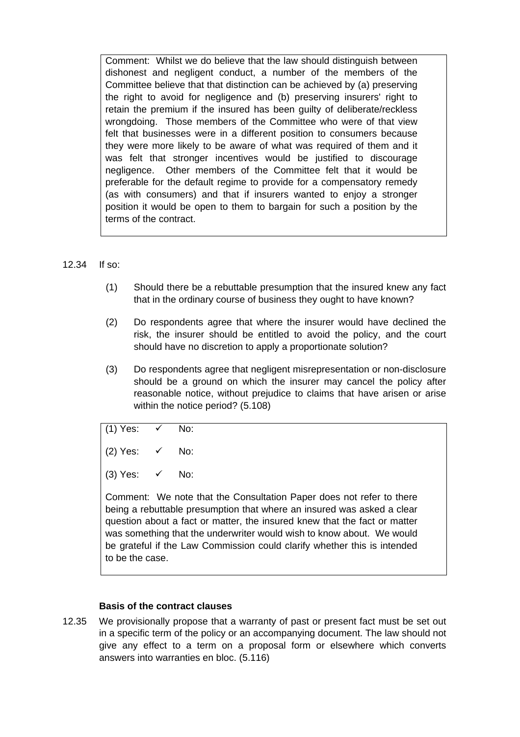Comment: Whilst we do believe that the law should distinguish between dishonest and negligent conduct, a number of the members of the Committee believe that that distinction can be achieved by (a) preserving the right to avoid for negligence and (b) preserving insurers' right to retain the premium if the insured has been guilty of deliberate/reckless wrongdoing. Those members of the Committee who were of that view felt that businesses were in a different position to consumers because they were more likely to be aware of what was required of them and it was felt that stronger incentives would be justified to discourage negligence. Other members of the Committee felt that it would be preferable for the default regime to provide for a compensatory remedy (as with consumers) and that if insurers wanted to enjoy a stronger position it would be open to them to bargain for such a position by the terms of the contract.

#### 12.34 If so:

- (1) Should there be a rebuttable presumption that the insured knew any fact that in the ordinary course of business they ought to have known?
- (2) Do respondents agree that where the insurer would have declined the risk, the insurer should be entitled to avoid the policy, and the court should have no discretion to apply a proportionate solution?
- (3) Do respondents agree that negligent misrepresentation or non-disclosure should be a ground on which the insurer may cancel the policy after reasonable notice, without prejudice to claims that have arisen or arise within the notice period? (5.108)

(1) Yes: 
$$
\checkmark
$$
 No:

(2) Yes:  $\checkmark$  No:

(3) Yes:  $\checkmark$  No:

Comment: We note that the Consultation Paper does not refer to there being a rebuttable presumption that where an insured was asked a clear question about a fact or matter, the insured knew that the fact or matter was something that the underwriter would wish to know about. We would be grateful if the Law Commission could clarify whether this is intended to be the case.

#### **Basis of the contract clauses**

12.35 We provisionally propose that a warranty of past or present fact must be set out in a specific term of the policy or an accompanying document. The law should not give any effect to a term on a proposal form or elsewhere which converts answers into warranties en bloc. (5.116)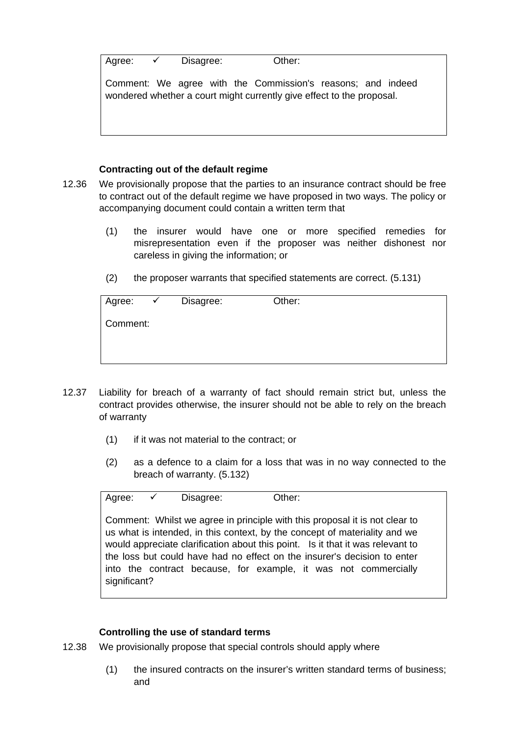| Agree: | Disagree: | Other: |
|--------|-----------|--------|

Comment: We agree with the Commission's reasons; and indeed wondered whether a court might currently give effect to the proposal.

## **Contracting out of the default regime**

- 12.36 We provisionally propose that the parties to an insurance contract should be free to contract out of the default regime we have proposed in two ways. The policy or accompanying document could contain a written term that
	- (1) the insurer would have one or more specified remedies for misrepresentation even if the proposer was neither dishonest nor careless in giving the information; or
	- (2) the proposer warrants that specified statements are correct. (5.131)

| Agree:   | $\checkmark$ | Disagree: | Other: |
|----------|--------------|-----------|--------|
| Comment: |              |           |        |
|          |              |           |        |
|          |              |           |        |

- 12.37 Liability for breach of a warranty of fact should remain strict but, unless the contract provides otherwise, the insurer should not be able to rely on the breach of warranty
	- (1) if it was not material to the contract; or
	- (2) as a defence to a claim for a loss that was in no way connected to the breach of warranty. (5.132)

Agree:  $\checkmark$  Disagree: Other:

Comment: Whilst we agree in principle with this proposal it is not clear to us what is intended, in this context, by the concept of materiality and we would appreciate clarification about this point. Is it that it was relevant to the loss but could have had no effect on the insurer's decision to enter into the contract because, for example, it was not commercially significant?

#### **Controlling the use of standard terms**

- 12.38 We provisionally propose that special controls should apply where
	- (1) the insured contracts on the insurer's written standard terms of business; and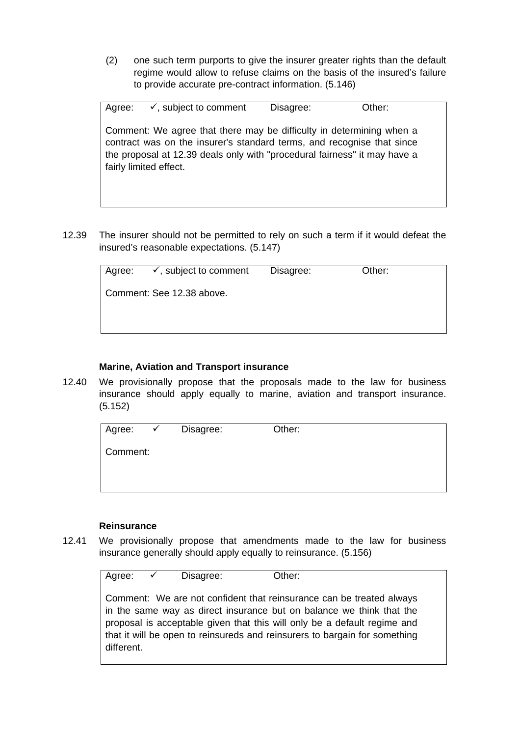(2) one such term purports to give the insurer greater rights than the default regime would allow to refuse claims on the basis of the insured's failure to provide accurate pre-contract information. (5.146)

Agree:  $\checkmark$ , subject to comment Disagree: Other: Comment: We agree that there may be difficulty in determining when a contract was on the insurer's standard terms, and recognise that since the proposal at 12.39 deals only with "procedural fairness" it may have a fairly limited effect.

12.39 The insurer should not be permitted to rely on such a term if it would defeat the insured's reasonable expectations. (5.147)

|                           | Agree: $\checkmark$ , subject to comment | Disagree: | Other: |  |  |
|---------------------------|------------------------------------------|-----------|--------|--|--|
| Comment: See 12.38 above. |                                          |           |        |  |  |
|                           |                                          |           |        |  |  |

## **Marine, Aviation and Transport insurance**

12.40 We provisionally propose that the proposals made to the law for business insurance should apply equally to marine, aviation and transport insurance. (5.152)

| Agree:   | $\checkmark$ | Disagree: | Other: |
|----------|--------------|-----------|--------|
| Comment: |              |           |        |
|          |              |           |        |
|          |              |           |        |

#### **Reinsurance**

12.41 We provisionally propose that amendments made to the law for business insurance generally should apply equally to reinsurance. (5.156)

| Agree: $\checkmark$ | Disagree: | Other: |                                                                                                                                                                                                                                                                                                        |  |
|---------------------|-----------|--------|--------------------------------------------------------------------------------------------------------------------------------------------------------------------------------------------------------------------------------------------------------------------------------------------------------|--|
| different.          |           |        | Comment: We are not confident that reinsurance can be treated always<br>in the same way as direct insurance but on balance we think that the<br>proposal is acceptable given that this will only be a default regime and<br>that it will be open to reinsureds and reinsurers to bargain for something |  |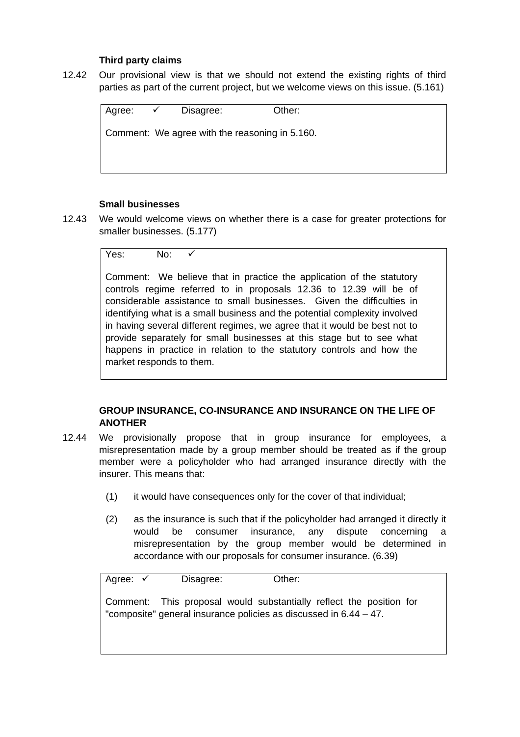## **Third party claims**

12.42 Our provisional view is that we should not extend the existing rights of third parties as part of the current project, but we welcome views on this issue. (5.161)

| Agree: | $\sqrt{2}$ | Disagree:                                      | Other: |
|--------|------------|------------------------------------------------|--------|
|        |            | Comment: We agree with the reasoning in 5.160. |        |
|        |            |                                                |        |
|        |            |                                                |        |

## **Small businesses**

12.43 We would welcome views on whether there is a case for greater protections for smaller businesses. (5.177)

$$
\begin{array}{ccc}\n\text{Yes:} & \text{No:} & \checkmark \\
\end{array}
$$

Comment: We believe that in practice the application of the statutory controls regime referred to in proposals 12.36 to 12.39 will be of considerable assistance to small businesses. Given the difficulties in identifying what is a small business and the potential complexity involved in having several different regimes, we agree that it would be best not to provide separately for small businesses at this stage but to see what happens in practice in relation to the statutory controls and how the market responds to them.

## **GROUP INSURANCE, CO-INSURANCE AND INSURANCE ON THE LIFE OF ANOTHER**

- 12.44 We provisionally propose that in group insurance for employees, a misrepresentation made by a group member should be treated as if the group member were a policyholder who had arranged insurance directly with the insurer. This means that:
	- (1) it would have consequences only for the cover of that individual;
	- (2) as the insurance is such that if the policyholder had arranged it directly it would be consumer insurance, any dispute concerning a misrepresentation by the group member would be determined in accordance with our proposals for consumer insurance. (6.39)

Agree: 9 Disagree: Other: Comment: This proposal would substantially reflect the position for "composite" general insurance policies as discussed in 6.44 – 47.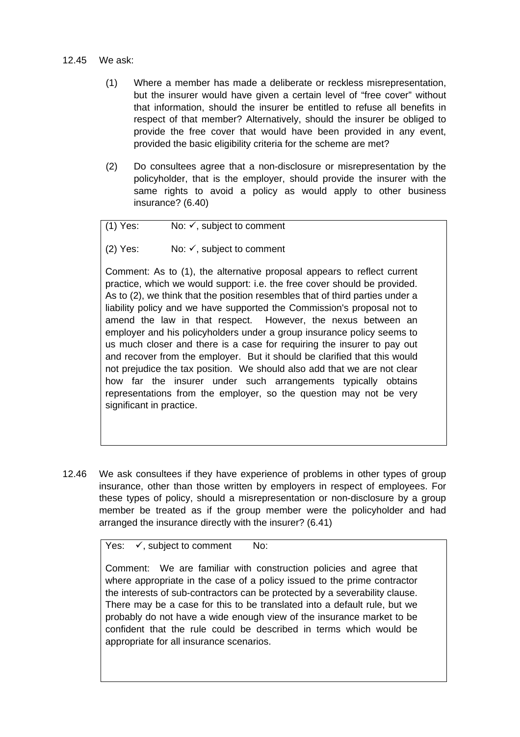#### 12.45 We ask:

- (1) Where a member has made a deliberate or reckless misrepresentation, but the insurer would have given a certain level of "free cover" without that information, should the insurer be entitled to refuse all benefits in respect of that member? Alternatively, should the insurer be obliged to provide the free cover that would have been provided in any event, provided the basic eligibility criteria for the scheme are met?
- (2) Do consultees agree that a non-disclosure or misrepresentation by the policyholder, that is the employer, should provide the insurer with the same rights to avoid a policy as would apply to other business insurance? (6.40)

(1) Yes: No:  $\checkmark$ , subject to comment

(2) Yes: No:  $\checkmark$ , subject to comment

Comment: As to (1), the alternative proposal appears to reflect current practice, which we would support: i.e. the free cover should be provided. As to (2), we think that the position resembles that of third parties under a liability policy and we have supported the Commission's proposal not to amend the law in that respect. However, the nexus between an employer and his policyholders under a group insurance policy seems to us much closer and there is a case for requiring the insurer to pay out and recover from the employer. But it should be clarified that this would not prejudice the tax position. We should also add that we are not clear how far the insurer under such arrangements typically obtains representations from the employer, so the question may not be very significant in practice.

12.46 We ask consultees if they have experience of problems in other types of group insurance, other than those written by employers in respect of employees. For these types of policy, should a misrepresentation or non-disclosure by a group member be treated as if the group member were the policyholder and had arranged the insurance directly with the insurer? (6.41)

Yes:  $\checkmark$ , subject to comment No:

Comment: We are familiar with construction policies and agree that where appropriate in the case of a policy issued to the prime contractor the interests of sub-contractors can be protected by a severability clause. There may be a case for this to be translated into a default rule, but we probably do not have a wide enough view of the insurance market to be confident that the rule could be described in terms which would be appropriate for all insurance scenarios.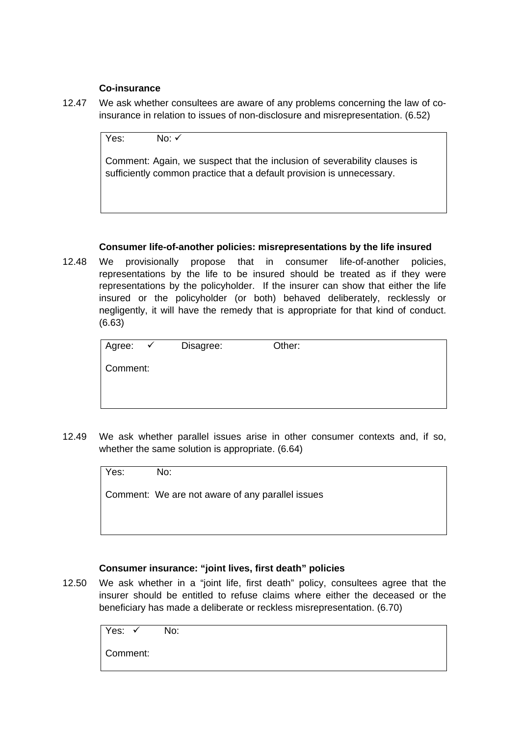#### **Co-insurance**

12.47 We ask whether consultees are aware of any problems concerning the law of coinsurance in relation to issues of non-disclosure and misrepresentation. (6.52)

Yes:  $No: \checkmark$ 

Comment: Again, we suspect that the inclusion of severability clauses is sufficiently common practice that a default provision is unnecessary.

## **Consumer life-of-another policies: misrepresentations by the life insured**

12.48 We provisionally propose that in consumer life-of-another policies, representations by the life to be insured should be treated as if they were representations by the policyholder. If the insurer can show that either the life insured or the policyholder (or both) behaved deliberately, recklessly or negligently, it will have the remedy that is appropriate for that kind of conduct. (6.63)

| Agree:   | $\checkmark$ | Disagree: | Other: |
|----------|--------------|-----------|--------|
| Comment: |              |           |        |
|          |              |           |        |
|          |              |           |        |

12.49 We ask whether parallel issues arise in other consumer contexts and, if so, whether the same solution is appropriate. (6.64)

| No: |
|-----|
|     |

Comment: We are not aware of any parallel issues

## **Consumer insurance: "joint lives, first death" policies**

12.50 We ask whether in a "joint life, first death" policy, consultees agree that the insurer should be entitled to refuse claims where either the deceased or the beneficiary has made a deliberate or reckless misrepresentation. (6.70)

| Yes: l   | No: l |
|----------|-------|
| Comment: |       |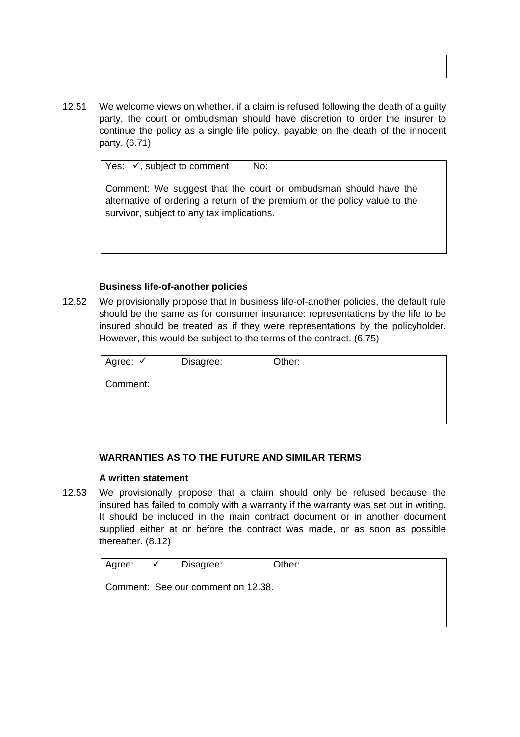12.51 We welcome views on whether, if a claim is refused following the death of a guilty party, the court or ombudsman should have discretion to order the insurer to continue the policy as a single life policy, payable on the death of the innocent party. (6.71)

Yes:  $\checkmark$ , subject to comment No:

Comment: We suggest that the court or ombudsman should have the alternative of ordering a return of the premium or the policy value to the survivor, subject to any tax implications.

#### **Business life-of-another policies**

12.52 We provisionally propose that in business life-of-another policies, the default rule should be the same as for consumer insurance: representations by the life to be insured should be treated as if they were representations by the policyholder. However, this would be subject to the terms of the contract. (6.75)

| Agree: √ | Disagree: | Other: |  |
|----------|-----------|--------|--|
| Comment: |           |        |  |
|          |           |        |  |
|          |           |        |  |

#### **WARRANTIES AS TO THE FUTURE AND SIMILAR TERMS**

#### **A written statement**

12.53 We provisionally propose that a claim should only be refused because the insured has failed to comply with a warranty if the warranty was set out in writing. It should be included in the main contract document or in another document supplied either at or before the contract was made, or as soon as possible thereafter. (8.12)

|  | Agree: <del>✓</del> Disagree:      | Other: |  |
|--|------------------------------------|--------|--|
|  | Comment: See our comment on 12.38. |        |  |
|  |                                    |        |  |
|  |                                    |        |  |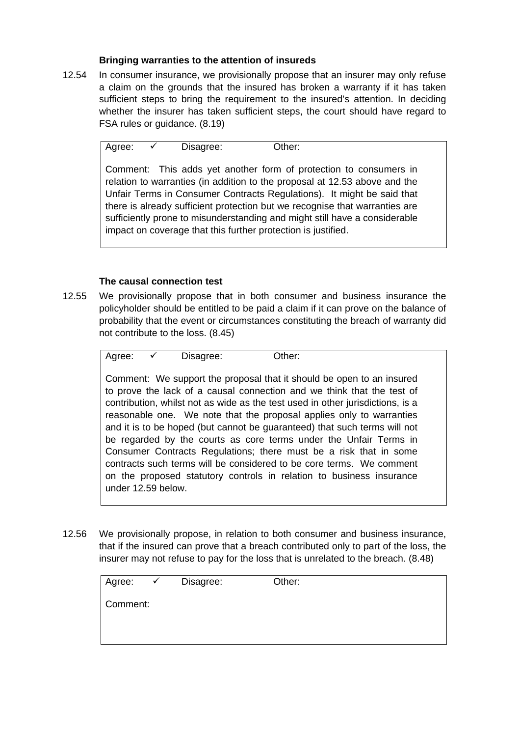## **Bringing warranties to the attention of insureds**

12.54 In consumer insurance, we provisionally propose that an insurer may only refuse a claim on the grounds that the insured has broken a warranty if it has taken sufficient steps to bring the requirement to the insured's attention. In deciding whether the insurer has taken sufficient steps, the court should have regard to FSA rules or guidance. (8.19)

Agree:  $\checkmark$  Disagree: Other:

Comment: This adds yet another form of protection to consumers in relation to warranties (in addition to the proposal at 12.53 above and the Unfair Terms in Consumer Contracts Regulations). It might be said that there is already sufficient protection but we recognise that warranties are sufficiently prone to misunderstanding and might still have a considerable impact on coverage that this further protection is justified.

## **The causal connection test**

12.55 We provisionally propose that in both consumer and business insurance the policyholder should be entitled to be paid a claim if it can prove on the balance of probability that the event or circumstances constituting the breach of warranty did not contribute to the loss. (8.45)

Agree:  $\checkmark$  Disagree: Other:

Comment: We support the proposal that it should be open to an insured to prove the lack of a causal connection and we think that the test of contribution, whilst not as wide as the test used in other jurisdictions, is a reasonable one. We note that the proposal applies only to warranties and it is to be hoped (but cannot be guaranteed) that such terms will not be regarded by the courts as core terms under the Unfair Terms in Consumer Contracts Regulations; there must be a risk that in some contracts such terms will be considered to be core terms. We comment on the proposed statutory controls in relation to business insurance under 12.59 below.

12.56 We provisionally propose, in relation to both consumer and business insurance, that if the insured can prove that a breach contributed only to part of the loss, the insurer may not refuse to pay for the loss that is unrelated to the breach. (8.48)

| Agree:   | $\sqrt{2}$ | Disagree: | Other: |
|----------|------------|-----------|--------|
| Comment: |            |           |        |
|          |            |           |        |
|          |            |           |        |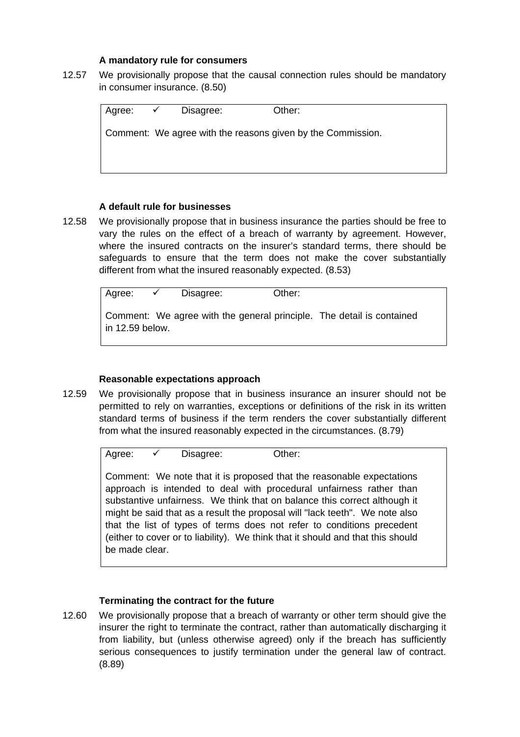#### **A mandatory rule for consumers**

12.57 We provisionally propose that the causal connection rules should be mandatory in consumer insurance. (8.50)

| Agree: ✔ | Disagree: | Other:                                                      |
|----------|-----------|-------------------------------------------------------------|
|          |           | Comment: We agree with the reasons given by the Commission. |
|          |           |                                                             |
|          |           |                                                             |

#### **A default rule for businesses**

12.58 We provisionally propose that in business insurance the parties should be free to vary the rules on the effect of a breach of warranty by agreement. However, where the insured contracts on the insurer's standard terms, there should be safeguards to ensure that the term does not make the cover substantially different from what the insured reasonably expected. (8.53)

| Agree:          | $\sqrt{2}$ | Disagree: | Other: |                                                                       |
|-----------------|------------|-----------|--------|-----------------------------------------------------------------------|
| in 12.59 below. |            |           |        | Comment: We agree with the general principle. The detail is contained |

#### **Reasonable expectations approach**

12.59 We provisionally propose that in business insurance an insurer should not be permitted to rely on warranties, exceptions or definitions of the risk in its written standard terms of business if the term renders the cover substantially different from what the insured reasonably expected in the circumstances. (8.79)

 $A$ gree:  $\checkmark$  Disagree: Other:

Comment: We note that it is proposed that the reasonable expectations approach is intended to deal with procedural unfairness rather than substantive unfairness. We think that on balance this correct although it might be said that as a result the proposal will "lack teeth". We note also that the list of types of terms does not refer to conditions precedent (either to cover or to liability). We think that it should and that this should be made clear.

#### **Terminating the contract for the future**

12.60 We provisionally propose that a breach of warranty or other term should give the insurer the right to terminate the contract, rather than automatically discharging it from liability, but (unless otherwise agreed) only if the breach has sufficiently serious consequences to justify termination under the general law of contract. (8.89)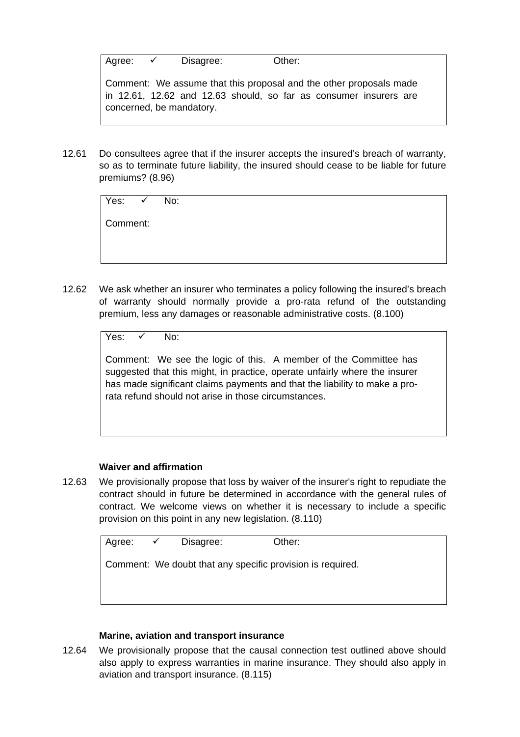Agree:  $\checkmark$  Disagree: Other:

Comment: We assume that this proposal and the other proposals made in 12.61, 12.62 and 12.63 should, so far as consumer insurers are concerned, be mandatory.

12.61 Do consultees agree that if the insurer accepts the insured's breach of warranty, so as to terminate future liability, the insured should cease to be liable for future premiums? (8.96)

| Yes: ✓ No: |  |
|------------|--|
| Comment:   |  |
|            |  |

12.62 We ask whether an insurer who terminates a policy following the insured's breach of warranty should normally provide a pro-rata refund of the outstanding premium, less any damages or reasonable administrative costs. (8.100)

Yes:  $\sqrt{N_0}$ 

Comment: We see the logic of this. A member of the Committee has suggested that this might, in practice, operate unfairly where the insurer has made significant claims payments and that the liability to make a prorata refund should not arise in those circumstances.

## **Waiver and affirmation**

12.63 We provisionally propose that loss by waiver of the insurer's right to repudiate the contract should in future be determined in accordance with the general rules of contract. We welcome views on whether it is necessary to include a specific provision on this point in any new legislation. (8.110)

| Agree: $\checkmark$ Disagree: |                                                            | Other: |
|-------------------------------|------------------------------------------------------------|--------|
|                               |                                                            |        |
|                               |                                                            |        |
|                               |                                                            |        |
|                               | Comment: We doubt that any specific provision is required. |        |
|                               |                                                            |        |
|                               |                                                            |        |
|                               |                                                            |        |
|                               |                                                            |        |
|                               |                                                            |        |

## **Marine, aviation and transport insurance**

12.64 We provisionally propose that the causal connection test outlined above should also apply to express warranties in marine insurance. They should also apply in aviation and transport insurance. (8.115)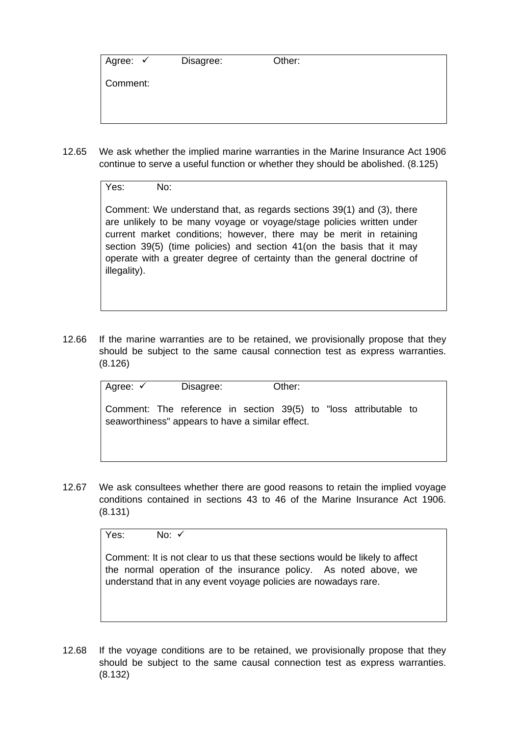| Agree: $\checkmark$ | Disagree: | Other: |
|---------------------|-----------|--------|
| Comment:            |           |        |

12.65 We ask whether the implied marine warranties in the Marine Insurance Act 1906 continue to serve a useful function or whether they should be abolished. (8.125)

Yes: No:

Comment: We understand that, as regards sections 39(1) and (3), there are unlikely to be many voyage or voyage/stage policies written under current market conditions; however, there may be merit in retaining section 39(5) (time policies) and section 41 (on the basis that it may operate with a greater degree of certainty than the general doctrine of illegality).

12.66 If the marine warranties are to be retained, we provisionally propose that they should be subject to the same causal connection test as express warranties. (8.126)

| Agree: ✓ | Disagree: | Other:                                                                                                               |  |  |
|----------|-----------|----------------------------------------------------------------------------------------------------------------------|--|--|
|          |           | Comment: The reference in section 39(5) to "loss attributable to<br>seaworthiness" appears to have a similar effect. |  |  |

12.67 We ask consultees whether there are good reasons to retain the implied voyage conditions contained in sections 43 to 46 of the Marine Insurance Act 1906. (8.131)

Yes:  $N_0: \checkmark$ 

Comment: It is not clear to us that these sections would be likely to affect the normal operation of the insurance policy. As noted above, we understand that in any event voyage policies are nowadays rare.

12.68 If the voyage conditions are to be retained, we provisionally propose that they should be subject to the same causal connection test as express warranties. (8.132)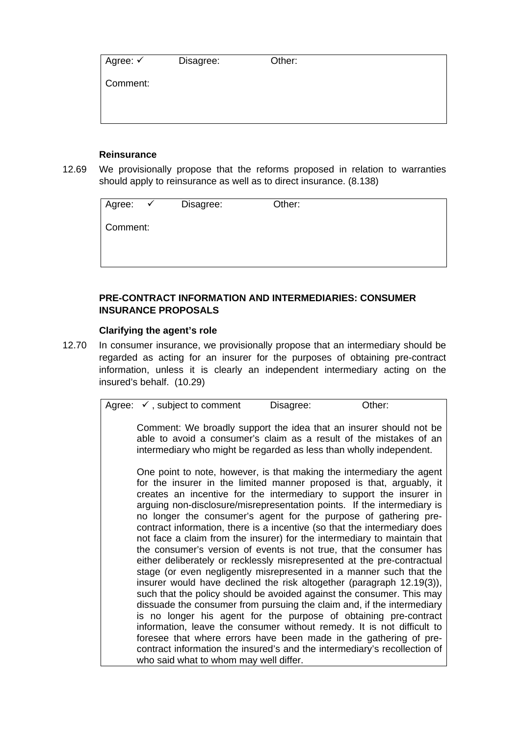| Agree: √ | Disagree: | Other: |
|----------|-----------|--------|
| Comment: |           |        |
|          |           |        |

#### **Reinsurance**

12.69 We provisionally propose that the reforms proposed in relation to warranties should apply to reinsurance as well as to direct insurance. (8.138)

| Agree:   | $\sqrt{ }$ | Disagree: | Other: |
|----------|------------|-----------|--------|
| Comment: |            |           |        |
|          |            |           |        |
|          |            |           |        |

## **PRE-CONTRACT INFORMATION AND INTERMEDIARIES: CONSUMER INSURANCE PROPOSALS**

#### **Clarifying the agent's role**

12.70 In consumer insurance, we provisionally propose that an intermediary should be regarded as acting for an insurer for the purposes of obtaining pre-contract information, unless it is clearly an independent intermediary acting on the insured's behalf. (10.29)

| Comment: We broadly support the idea that an insurer should not be<br>able to avoid a consumer's claim as a result of the mistakes of an<br>intermediary who might be regarded as less than wholly independent.<br>One point to note, however, is that making the intermediary the agent<br>for the insurer in the limited manner proposed is that, arguably, it<br>creates an incentive for the intermediary to support the insurer in<br>arguing non-disclosure/misrepresentation points. If the intermediary is<br>no longer the consumer's agent for the purpose of gathering pre-<br>contract information, there is a incentive (so that the intermediary does<br>not face a claim from the insurer) for the intermediary to maintain that<br>the consumer's version of events is not true, that the consumer has<br>either deliberately or recklessly misrepresented at the pre-contractual<br>stage (or even negligently misrepresented in a manner such that the<br>insurer would have declined the risk altogether (paragraph 12.19(3)),<br>such that the policy should be avoided against the consumer. This may<br>dissuade the consumer from pursuing the claim and, if the intermediary<br>is no longer his agent for the purpose of obtaining pre-contract<br>information, leave the consumer without remedy. It is not difficult to<br>foresee that where errors have been made in the gathering of pre-<br>contract information the insured's and the intermediary's recollection of<br>who said what to whom may well differ. | Agree: $\checkmark$ , subject to comment | Disagree: | Other: |
|------------------------------------------------------------------------------------------------------------------------------------------------------------------------------------------------------------------------------------------------------------------------------------------------------------------------------------------------------------------------------------------------------------------------------------------------------------------------------------------------------------------------------------------------------------------------------------------------------------------------------------------------------------------------------------------------------------------------------------------------------------------------------------------------------------------------------------------------------------------------------------------------------------------------------------------------------------------------------------------------------------------------------------------------------------------------------------------------------------------------------------------------------------------------------------------------------------------------------------------------------------------------------------------------------------------------------------------------------------------------------------------------------------------------------------------------------------------------------------------------------------------------------------------------|------------------------------------------|-----------|--------|
|                                                                                                                                                                                                                                                                                                                                                                                                                                                                                                                                                                                                                                                                                                                                                                                                                                                                                                                                                                                                                                                                                                                                                                                                                                                                                                                                                                                                                                                                                                                                                |                                          |           |        |
|                                                                                                                                                                                                                                                                                                                                                                                                                                                                                                                                                                                                                                                                                                                                                                                                                                                                                                                                                                                                                                                                                                                                                                                                                                                                                                                                                                                                                                                                                                                                                |                                          |           |        |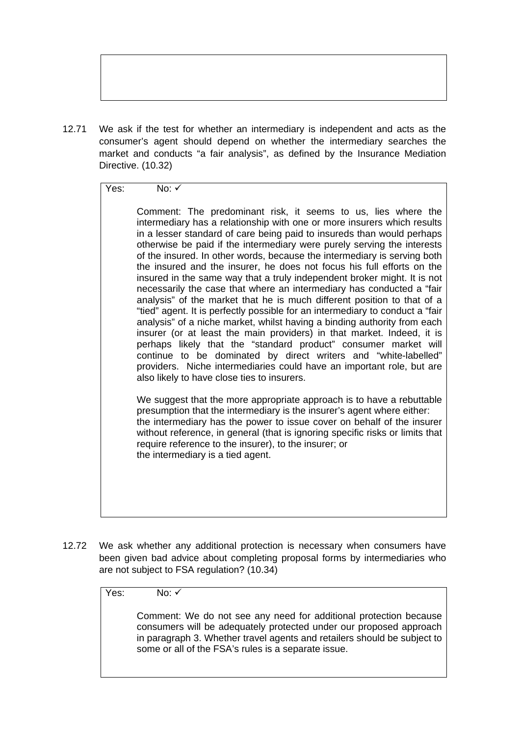12.71 We ask if the test for whether an intermediary is independent and acts as the consumer's agent should depend on whether the intermediary searches the market and conducts "a fair analysis", as defined by the Insurance Mediation Directive. (10.32)

## Yes: No: ✓

Comment: The predominant risk, it seems to us, lies where the intermediary has a relationship with one or more insurers which results in a lesser standard of care being paid to insureds than would perhaps otherwise be paid if the intermediary were purely serving the interests of the insured. In other words, because the intermediary is serving both the insured and the insurer, he does not focus his full efforts on the insured in the same way that a truly independent broker might. It is not necessarily the case that where an intermediary has conducted a "fair analysis" of the market that he is much different position to that of a "tied" agent. It is perfectly possible for an intermediary to conduct a "fair analysis" of a niche market, whilst having a binding authority from each insurer (or at least the main providers) in that market. Indeed, it is perhaps likely that the "standard product" consumer market will continue to be dominated by direct writers and "white-labelled" providers. Niche intermediaries could have an important role, but are also likely to have close ties to insurers.

We suggest that the more appropriate approach is to have a rebuttable presumption that the intermediary is the insurer's agent where either: the intermediary has the power to issue cover on behalf of the insurer without reference, in general (that is ignoring specific risks or limits that require reference to the insurer), to the insurer; or the intermediary is a tied agent.

12.72 We ask whether any additional protection is necessary when consumers have been given bad advice about completing proposal forms by intermediaries who are not subject to FSA regulation? (10.34)

Yes: No: ✓

Comment: We do not see any need for additional protection because consumers will be adequately protected under our proposed approach in paragraph 3. Whether travel agents and retailers should be subject to some or all of the FSA's rules is a separate issue.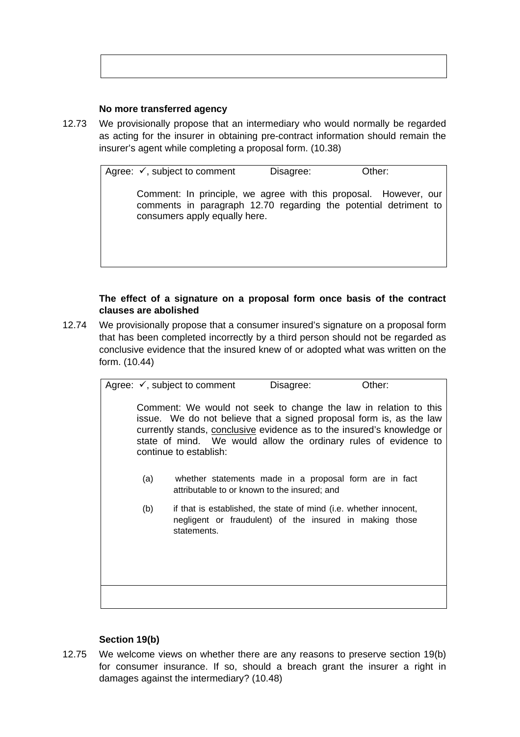#### **No more transferred agency**

12.73 We provisionally propose that an intermediary who would normally be regarded as acting for the insurer in obtaining pre-contract information should remain the insurer's agent while completing a proposal form. (10.38)

> Agree:  $\checkmark$ , subject to comment Disagree: Other: Comment: In principle, we agree with this proposal. However, our comments in paragraph 12.70 regarding the potential detriment to consumers apply equally here.

## **The effect of a signature on a proposal form once basis of the contract clauses are abolished**

12.74 We provisionally propose that a consumer insured's signature on a proposal form that has been completed incorrectly by a third person should not be regarded as conclusive evidence that the insured knew of or adopted what was written on the form. (10.44)

> Agree:  $\checkmark$ , subject to comment Disagree: Other: Comment: We would not seek to change the law in relation to this issue. We do not believe that a signed proposal form is, as the law currently stands, conclusive evidence as to the insured's knowledge or state of mind. We would allow the ordinary rules of evidence to continue to establish: (a) whether statements made in a proposal form are in fact attributable to or known to the insured; and (b) if that is established, the state of mind (i.e. whether innocent, negligent or fraudulent) of the insured in making those statements.

# **Section 19(b)**

12.75 We welcome views on whether there are any reasons to preserve section 19(b) for consumer insurance. If so, should a breach grant the insurer a right in damages against the intermediary? (10.48)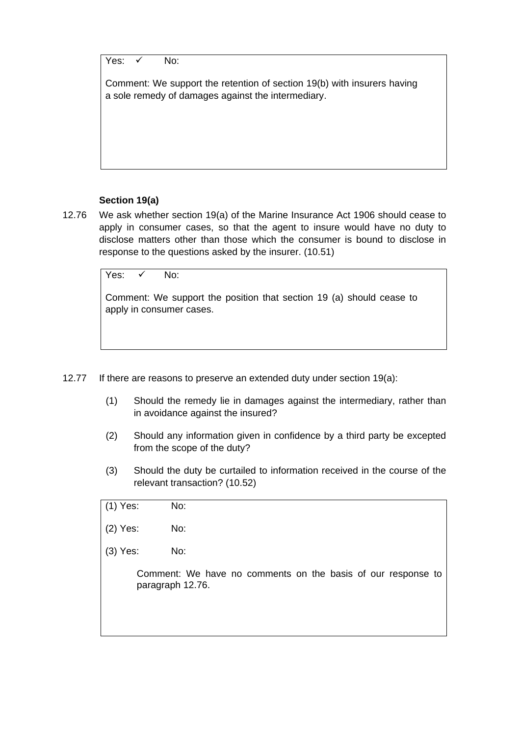Yes:  $\sqrt{N}$  No:

Comment: We support the retention of section 19(b) with insurers having a sole remedy of damages against the intermediary.

## **Section 19(a)**

12.76 We ask whether section 19(a) of the Marine Insurance Act 1906 should cease to apply in consumer cases, so that the agent to insure would have no duty to disclose matters other than those which the consumer is bound to disclose in response to the questions asked by the insurer. (10.51)

Yes:  $\checkmark$  No:

Comment: We support the position that section 19 (a) should cease to apply in consumer cases.

- 12.77 If there are reasons to preserve an extended duty under section 19(a):
	- (1) Should the remedy lie in damages against the intermediary, rather than in avoidance against the insured?
	- (2) Should any information given in confidence by a third party be excepted from the scope of the duty?
	- (3) Should the duty be curtailed to information received in the course of the relevant transaction? (10.52)

| (1) Yes: | No:                                                                              |
|----------|----------------------------------------------------------------------------------|
| (2) Yes: | No:                                                                              |
| (3) Yes: | No:                                                                              |
|          | Comment: We have no comments on the basis of our response to<br>paragraph 12.76. |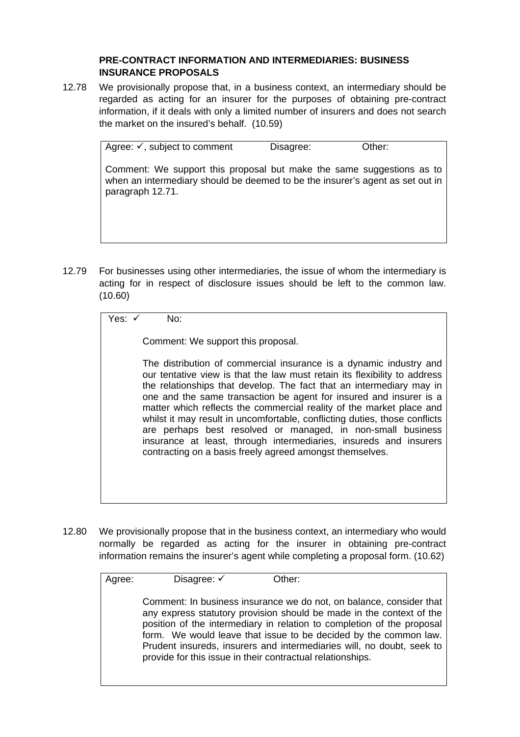## **PRE-CONTRACT INFORMATION AND INTERMEDIARIES: BUSINESS INSURANCE PROPOSALS**

12.78 We provisionally propose that, in a business context, an intermediary should be regarded as acting for an insurer for the purposes of obtaining pre-contract information, if it deals with only a limited number of insurers and does not search the market on the insured's behalf. (10.59)

> Agree:  $\checkmark$ , subject to comment Disagree: Other: Comment: We support this proposal but make the same suggestions as to when an intermediary should be deemed to be the insurer's agent as set out in paragraph 12.71.

12.79 For businesses using other intermediaries, the issue of whom the intermediary is acting for in respect of disclosure issues should be left to the common law. (10.60)

| Yes: ✔ |  | No: |
|--------|--|-----|
|--------|--|-----|

Comment: We support this proposal.

The distribution of commercial insurance is a dynamic industry and our tentative view is that the law must retain its flexibility to address the relationships that develop. The fact that an intermediary may in one and the same transaction be agent for insured and insurer is a matter which reflects the commercial reality of the market place and whilst it may result in uncomfortable, conflicting duties, those conflicts are perhaps best resolved or managed, in non-small business insurance at least, through intermediaries, insureds and insurers contracting on a basis freely agreed amongst themselves.

12.80 We provisionally propose that in the business context, an intermediary who would normally be regarded as acting for the insurer in obtaining pre-contract information remains the insurer's agent while completing a proposal form. (10.62)

| Agree: | Disagree: $\checkmark$                                     | Other:                                                                                                                                                                                                                                                                                                                                                             |
|--------|------------------------------------------------------------|--------------------------------------------------------------------------------------------------------------------------------------------------------------------------------------------------------------------------------------------------------------------------------------------------------------------------------------------------------------------|
|        | provide for this issue in their contractual relationships. | Comment: In business insurance we do not, on balance, consider that<br>any express statutory provision should be made in the context of the<br>position of the intermediary in relation to completion of the proposal<br>form. We would leave that issue to be decided by the common law.<br>Prudent insureds, insurers and intermediaries will, no doubt, seek to |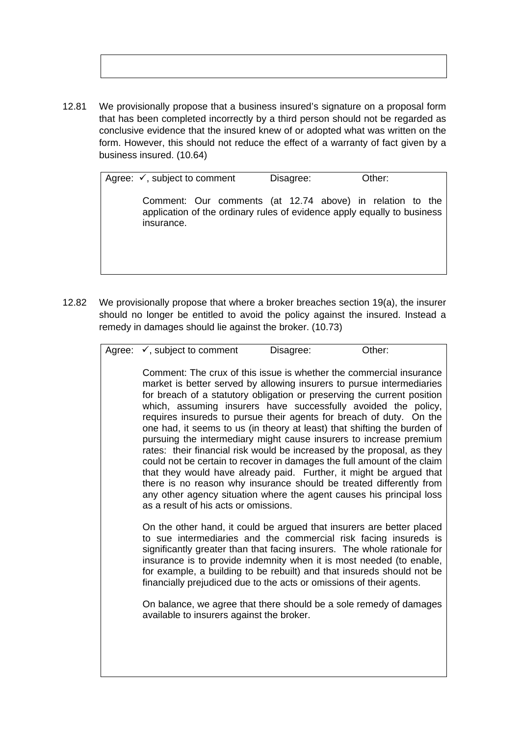12.81 We provisionally propose that a business insured's signature on a proposal form that has been completed incorrectly by a third person should not be regarded as conclusive evidence that the insured knew of or adopted what was written on the form. However, this should not reduce the effect of a warranty of fact given by a business insured. (10.64)

> Agree:  $\checkmark$ , subject to comment Disagree: Other: Comment: Our comments (at 12.74 above) in relation to the application of the ordinary rules of evidence apply equally to business insurance.

12.82 We provisionally propose that where a broker breaches section 19(a), the insurer should no longer be entitled to avoid the policy against the insured. Instead a remedy in damages should lie against the broker. (10.73)

| Agree: $\checkmark$ , subject to comment | Disagree: | Other: |  |
|------------------------------------------|-----------|--------|--|
|                                          |           |        |  |

Comment: The crux of this issue is whether the commercial insurance market is better served by allowing insurers to pursue intermediaries for breach of a statutory obligation or preserving the current position which, assuming insurers have successfully avoided the policy, requires insureds to pursue their agents for breach of duty. On the one had, it seems to us (in theory at least) that shifting the burden of pursuing the intermediary might cause insurers to increase premium rates: their financial risk would be increased by the proposal, as they could not be certain to recover in damages the full amount of the claim that they would have already paid. Further, it might be argued that there is no reason why insurance should be treated differently from any other agency situation where the agent causes his principal loss as a result of his acts or omissions.

On the other hand, it could be argued that insurers are better placed to sue intermediaries and the commercial risk facing insureds is significantly greater than that facing insurers. The whole rationale for insurance is to provide indemnity when it is most needed (to enable, for example, a building to be rebuilt) and that insureds should not be financially prejudiced due to the acts or omissions of their agents.

On balance, we agree that there should be a sole remedy of damages available to insurers against the broker.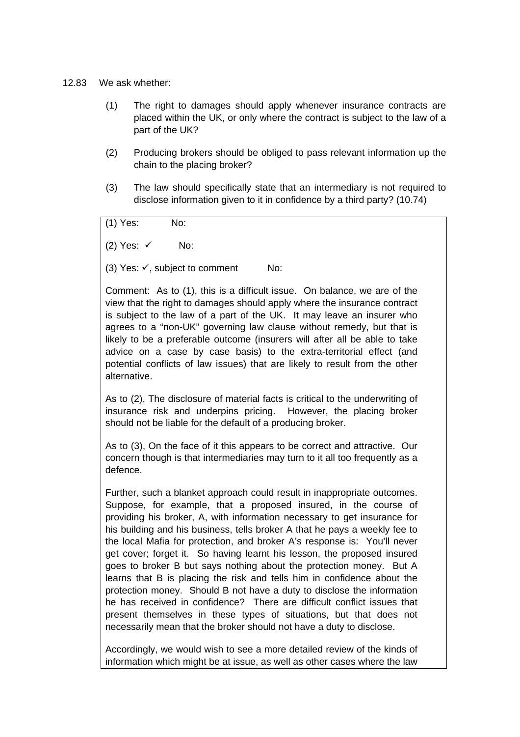#### 12.83 We ask whether:

- (1) The right to damages should apply whenever insurance contracts are placed within the UK, or only where the contract is subject to the law of a part of the UK?
- (2) Producing brokers should be obliged to pass relevant information up the chain to the placing broker?
- (3) The law should specifically state that an intermediary is not required to disclose information given to it in confidence by a third party? (10.74)

(1) Yes: No:

(2) Yes:  $\checkmark$  No:

(3) Yes:  $\checkmark$ , subject to comment No:

Comment: As to (1), this is a difficult issue. On balance, we are of the view that the right to damages should apply where the insurance contract is subject to the law of a part of the UK. It may leave an insurer who agrees to a "non-UK" governing law clause without remedy, but that is likely to be a preferable outcome (insurers will after all be able to take advice on a case by case basis) to the extra-territorial effect (and potential conflicts of law issues) that are likely to result from the other alternative.

As to (2), The disclosure of material facts is critical to the underwriting of insurance risk and underpins pricing. However, the placing broker should not be liable for the default of a producing broker.

As to (3), On the face of it this appears to be correct and attractive. Our concern though is that intermediaries may turn to it all too frequently as a defence.

Further, such a blanket approach could result in inappropriate outcomes. Suppose, for example, that a proposed insured, in the course of providing his broker, A, with information necessary to get insurance for his building and his business, tells broker A that he pays a weekly fee to the local Mafia for protection, and broker A's response is: You'll never get cover; forget it. So having learnt his lesson, the proposed insured goes to broker B but says nothing about the protection money. But A learns that B is placing the risk and tells him in confidence about the protection money. Should B not have a duty to disclose the information he has received in confidence? There are difficult conflict issues that present themselves in these types of situations, but that does not necessarily mean that the broker should not have a duty to disclose.

Accordingly, we would wish to see a more detailed review of the kinds of information which might be at issue, as well as other cases where the law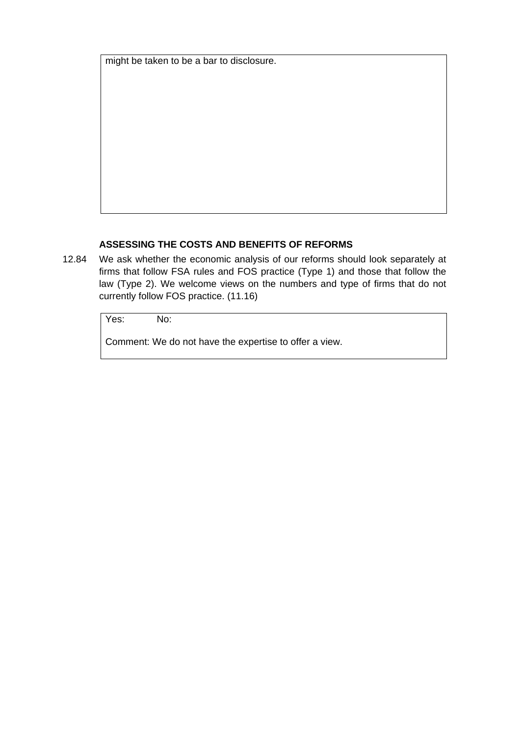might be taken to be a bar to disclosure.

#### **ASSESSING THE COSTS AND BENEFITS OF REFORMS**

12.84 We ask whether the economic analysis of our reforms should look separately at firms that follow FSA rules and FOS practice (Type 1) and those that follow the law (Type 2). We welcome views on the numbers and type of firms that do not currently follow FOS practice. (11.16)

Yes: No:

Comment: We do not have the expertise to offer a view.